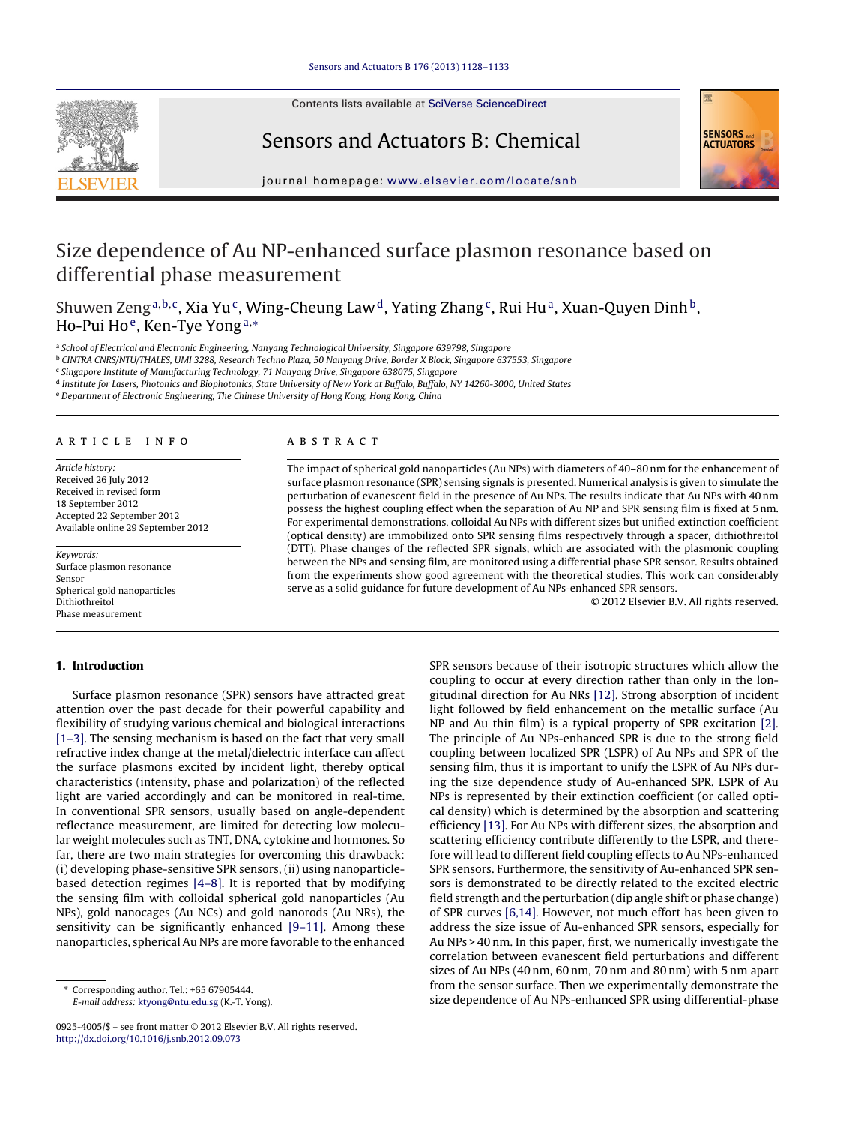

# Sensors and Actuators B: Chemical



iournal homepage: [www.elsevier.com/locate/snb](http://www.elsevier.com/locate/snb)

# Size dependence of Au NP-enhanced surface plasmon resonance based on differential phase measurement

Shuwen Zeng<sup>a,b,c</sup>, Xia Yu<sup>c</sup>, Wing-Cheung Law<sup>d</sup>, Yating Zhang<sup>c</sup>, Rui Hu<sup>a</sup>, Xuan-Quyen Dinh<sup>b</sup>, Ho-Pui Ho<sup>e</sup>, Ken-Tye Yong<sup>a,\*</sup>

a School of Electrical and Electronic Engineering, Nanyang Technological University, Singapore 639798, Singapore

<sup>b</sup> CINTRA CNRS/NTU/THALES, UMI 3288, Research Techno Plaza, 50 Nanyang Drive, Border X Block, Singapore 637553, Singapore

<sup>c</sup> Singapore Institute of Manufacturing Technology, 71 Nanyang Drive, Singapore 638075, Singapore

<sup>d</sup> Institute for Lasers, Photonics and Biophotonics, State University of New York at Buffalo, Buffalo, NY 14260-3000, United States

<sup>e</sup> Department of Electronic Engineering, The Chinese University of Hong Kong, Hong Kong, China

## a r t i c l e i n f o

Article history: Received 26 July 2012 Received in revised form 18 September 2012 Accepted 22 September 2012 Available online 29 September 2012

Keywords: Surface plasmon resonance Sensor Spherical gold nanoparticles Dithiothreitol Phase measurement

## **1. Introduction**

# Surface plasmon resonance (SPR) sensors have attracted great attention over the past decade for their powerful capability and flexibility of studying various chemical and biological interactions [\[1–3\].](#page-4-0) The sensing mechanism is based on the fact that very small refractive index change at the metal/dielectric interface can affect the surface plasmons excited by incident light, thereby optical characteristics (intensity, phase and polarization) of the reflected light are varied accordingly and can be monitored in real-time. In conventional SPR sensors, usually based on angle-dependent reflectance measurement, are limited for detecting low molecular weight molecules such as TNT, DNA, cytokine and hormones. So far, there are two main strategies for overcoming this drawback: (i) developing phase-sensitive SPR sensors, (ii) using nanoparticlebased detection regimes [\[4–8\].](#page-4-0) It is reported that by modifying the sensing film with colloidal spherical gold nanoparticles (Au NPs), gold nanocages (Au NCs) and gold nanorods (Au NRs), the sensitivity can be significantly enhanced [\[9–11\].](#page-4-0) Among these nanoparticles, spherical Au NPs are more favorable to the enhanced

0925-4005/\$ – see front matter © 2012 Elsevier B.V. All rights reserved. [http://dx.doi.org/10.1016/j.snb.2012.09.073](dx.doi.org/10.1016/j.snb.2012.09.073)

#### A B S T R A C T

The impact of spherical gold nanoparticles (Au NPs) with diameters of 40–80 nm for the enhancement of surface plasmon resonance (SPR) sensing signals is presented. Numerical analysis is given to simulate the perturbation of evanescent field in the presence of Au NPs. The results indicate that Au NPs with 40 nm possess the highest coupling effect when the separation of Au NP and SPR sensing film is fixed at 5 nm. For experimental demonstrations, colloidal Au NPs with different sizes but unified extinction coefficient (optical density) are immobilized onto SPR sensing films respectively through a spacer, dithiothreitol (DTT). Phase changes of the reflected SPR signals, which are associated with the plasmonic coupling between the NPs and sensing film, are monitored using a differential phase SPR sensor. Results obtained from the experiments show good agreement with the theoretical studies. This work can considerably serve as a solid guidance for future development of Au NPs-enhanced SPR sensors.

© 2012 Elsevier B.V. All rights reserved.

SPR sensors because of their isotropic structures which allow the coupling to occur at every direction rather than only in the longitudinal direction for Au NRs [\[12\].](#page-4-0) Strong absorption of incident light followed by field enhancement on the metallic surface (Au NP and Au thin film) is a typical property of SPR excitation [\[2\].](#page-4-0) The principle of Au NPs-enhanced SPR is due to the strong field coupling between localized SPR (LSPR) of Au NPs and SPR of the sensing film, thus it is important to unify the LSPR of Au NPs during the size dependence study of Au-enhanced SPR. LSPR of Au NPs is represented by their extinction coefficient (or called optical density) which is determined by the absorption and scattering efficiency [\[13\].](#page-4-0) For Au NPs with different sizes, the absorption and scattering efficiency contribute differently to the LSPR, and therefore will lead to different field coupling effects to Au NPs-enhanced SPR sensors. Furthermore, the sensitivity of Au-enhanced SPR sensors is demonstrated to be directly related to the excited electric field strength and the perturbation (dip angle shift or phase change) of SPR curves [\[6,14\].](#page-4-0) However, not much effort has been given to address the size issue of Au-enhanced SPR sensors, especially for Au NPs > 40 nm. In this paper, first, we numerically investigate the correlation between evanescent field perturbations and different sizes of Au NPs (40 nm, 60 nm, 70 nm and 80 nm) with 5 nm apart from the sensor surface. Then we experimentally demonstrate the size dependence of Au NPs-enhanced SPR using differential-phase

<sup>∗</sup> Corresponding author. Tel.: +65 67905444. E-mail address: [ktyong@ntu.edu.sg](mailto:ktyong@ntu.edu.sg) (K.-T. Yong).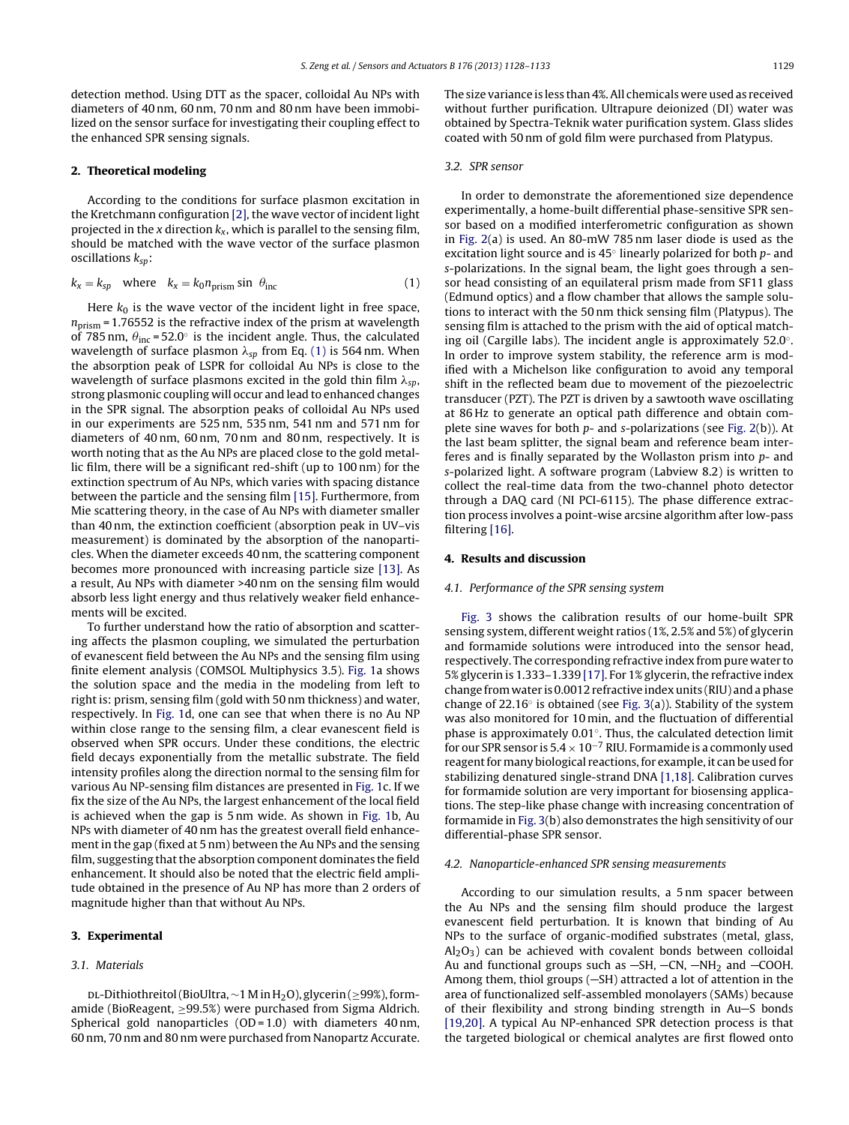detection method. Using DTT as the spacer, colloidal Au NPs with diameters of 40 nm, 60 nm, 70 nm and 80 nm have been immobilized on the sensor surface for investigating their coupling effect to the enhanced SPR sensing signals.

#### **2. Theoretical modeling**

According to the conditions for surface plasmon excitation in the Kretchmann configuration [\[2\],](#page-4-0) the wave vector of incident light projected in the x direction  $k_x$ , which is parallel to the sensing film, should be matched with the wave vector of the surface plasmon oscillations  $k_{sp}$ :

$$
k_x = k_{sp} \quad \text{where} \quad k_x = k_0 n_{\text{prism}} \sin \theta_{\text{inc}} \tag{1}
$$

Here  $k_0$  is the wave vector of the incident light in free space,  $n_{\text{prism}}$  = 1.76552 is the refractive index of the prism at wavelength of 785 nm,  $\theta_{\rm inc}$  = 52.0 $^{\circ}$  is the incident angle. Thus, the calculated wavelength of surface plasmon  $\lambda_{sp}$  from Eq. (1) is 564 nm. When the absorption peak of LSPR for colloidal Au NPs is close to the wavelength of surface plasmons excited in the gold thin film  $\lambda_{sp}$ , strong plasmonic coupling will occur and lead to enhanced changes in the SPR signal. The absorption peaks of colloidal Au NPs used in our experiments are 525 nm, 535 nm, 541 nm and 571 nm for diameters of 40 nm, 60 nm, 70 nm and 80 nm, respectively. It is worth noting that as the Au NPs are placed close to the gold metallic film, there will be a significant red-shift (up to 100 nm) for the extinction spectrum of Au NPs, which varies with spacing distance between the particle and the sensing film [\[15\].](#page-4-0) Furthermore, from Mie scattering theory, in the case of Au NPs with diameter smaller than 40 nm, the extinction coefficient (absorption peak in UV–vis measurement) is dominated by the absorption of the nanoparticles. When the diameter exceeds 40 nm, the scattering component becomes more pronounced with increasing particle size [\[13\].](#page-4-0) As a result, Au NPs with diameter >40 nm on the sensing film would absorb less light energy and thus relatively weaker field enhancements will be excited.

To further understand how the ratio of absorption and scattering affects the plasmon coupling, we simulated the perturbation of evanescent field between the Au NPs and the sensing film using finite element analysis (COMSOL Multiphysics 3.5). [Fig.](#page-2-0) 1a shows the solution space and the media in the modeling from left to right is: prism, sensing film (gold with 50 nm thickness) and water, respectively. In [Fig.](#page-2-0) 1d, one can see that when there is no Au NP within close range to the sensing film, a clear evanescent field is observed when SPR occurs. Under these conditions, the electric field decays exponentially from the metallic substrate. The field intensity profiles along the direction normal to the sensing film for various Au NP-sensing film distances are presented in [Fig.](#page-2-0) 1c. If we fix the size of the Au NPs, the largest enhancement of the local field is achieved when the gap is 5 nm wide. As shown in [Fig.](#page-2-0) 1b, Au NPs with diameter of 40 nm has the greatest overall field enhancement in the gap (fixed at 5 nm) between the Au NPs and the sensing film, suggesting thatthe absorption component dominates the field enhancement. It should also be noted that the electric field amplitude obtained in the presence of Au NP has more than 2 orders of magnitude higher than that without Au NPs.

#### **3. Experimental**

#### 3.1. Materials

DL-Dithiothreitol(BioUltra,∼1 M in H<sub>2</sub>O), glycerin(≥99%), formamide (BioReagent, ≥99.5%) were purchased from Sigma Aldrich. Spherical gold nanoparticles (OD = 1.0) with diameters 40 nm, 60 nm, 70 nm and 80 nm were purchased from Nanopartz Accurate. The size variance is less than 4%. All chemicals were used as received without further purification. Ultrapure deionized (DI) water was obtained by Spectra-Teknik water purification system. Glass slides coated with 50 nm of gold film were purchased from Platypus.

## 3.2. SPR sensor

In order to demonstrate the aforementioned size dependence experimentally, a home-built differential phase-sensitive SPR sensor based on a modified interferometric configuration as shown in [Fig.](#page-2-0) 2(a) is used. An 80-mW 785 nm laser diode is used as the excitation light source and is  $45°$  linearly polarized for both  $p$ - and s-polarizations. In the signal beam, the light goes through a sensor head consisting of an equilateral prism made from SF11 glass (Edmund optics) and a flow chamber that allows the sample solutions to interact with the 50 nm thick sensing film (Platypus). The sensing film is attached to the prism with the aid of optical matching oil (Cargille labs). The incident angle is approximately 52.0◦. In order to improve system stability, the reference arm is modified with a Michelson like configuration to avoid any temporal shift in the reflected beam due to movement of the piezoelectric transducer (PZT). The PZT is driven by a sawtooth wave oscillating at 86 Hz to generate an optical path difference and obtain complete sine waves for both  $p$ - and s-polarizations (see [Fig.](#page-2-0) 2(b)). At the last beam splitter, the signal beam and reference beam interferes and is finally separated by the Wollaston prism into p- and s-polarized light. A software program (Labview 8.2) is written to collect the real-time data from the two-channel photo detector through a DAQ card (NI PCI-6115). The phase difference extraction process involves a point-wise arcsine algorithm after low-pass filtering [\[16\].](#page-4-0)

#### **4. Results and discussion**

# 4.1. Performance of the SPR sensing system

[Fig.](#page-3-0) 3 shows the calibration results of our home-built SPR sensing system, different weight ratios (1%, 2.5% and 5%) of glycerin and formamide solutions were introduced into the sensor head, respectively. The corresponding refractive index frompure water to 5% glycerin is 1.333-1.339 [\[17\].](#page-4-0) For 1% glycerin, the refractive index change fromwater is 0.0012 refractive indexunits (RIU) and aphase change of 22.16 $\circ$  is obtained (see [Fig.](#page-3-0) 3(a)). Stability of the system was also monitored for 10 min, and the fluctuation of differential phase is approximately 0.01◦. Thus, the calculated detection limit for our SPR sensor is  $5.4 \times 10^{-7}$  RIU. Formamide is a commonly used reagent for many biological reactions, for example, it can be used for stabilizing denatured single-strand DNA [\[1,18\].](#page-4-0) Calibration curves for formamide solution are very important for biosensing applications. The step-like phase change with increasing concentration of formamide in [Fig.](#page-3-0) 3(b) also demonstrates the high sensitivity of our differential-phase SPR sensor.

#### 4.2. Nanoparticle-enhanced SPR sensing measurements

According to our simulation results, a 5 nm spacer between the Au NPs and the sensing film should produce the largest evanescent field perturbation. It is known that binding of Au NPs to the surface of organic-modified substrates (metal, glass,  $Al_2O_3$ ) can be achieved with covalent bonds between colloidal Au and functional groups such as  $-SH$ ,  $-CN$ ,  $-NH<sub>2</sub>$  and  $-COOH$ . Among them, thiol groups  $(-SH)$  attracted a lot of attention in the area of functionalized self-assembled monolayers (SAMs) because of their flexibility and strong binding strength in Au-S bonds [\[19,20\].](#page-4-0) A typical Au NP-enhanced SPR detection process is that the targeted biological or chemical analytes are first flowed onto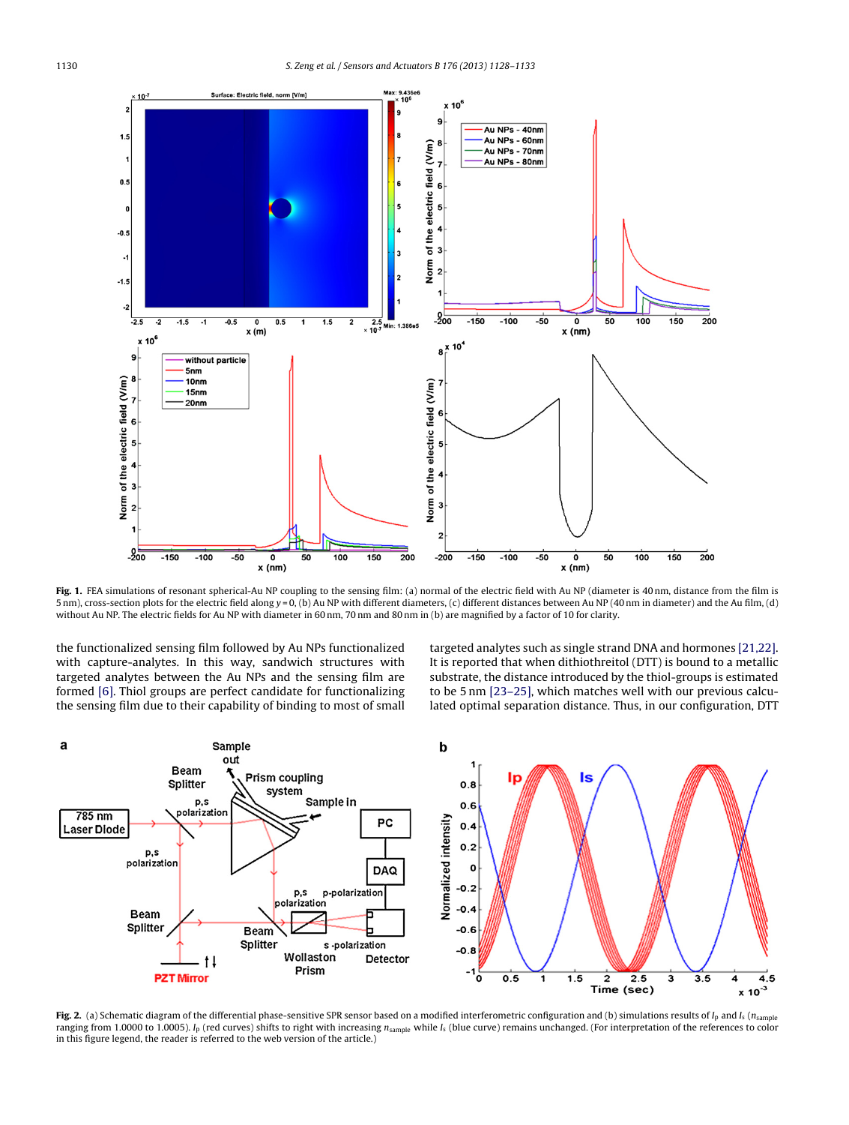<span id="page-2-0"></span>

Fig. 1. FEA simulations of resonant spherical-Au NP coupling to the sensing film: (a) normal of the electric field with Au NP (diameter is 40 nm, distance from the film is 5 nm), cross-section plots for the electric field along y = 0, (b) Au NP with different diameters, (c) different distances between Au NP (40 nm in diameter) and the Au film, (d) without Au NP. The electric fields for Au NP with diameter in 60 nm, 70 nm and 80 nm in (b) are magnified by a factor of 10 for clarity.

the functionalized sensing film followed by Au NPs functionalized with capture-analytes. In this way, sandwich structures with targeted analytes between the Au NPs and the sensing film are formed [\[6\].](#page-4-0) Thiol groups are perfect candidate for functionalizing the sensing film due to their capability of binding to most of small targeted analytes such as single strand DNA and hormones [\[21,22\].](#page-4-0) It is reported that when dithiothreitol (DTT) is bound to a metallic substrate, the distance introduced by the thiol-groups is estimated to be 5 nm [\[23–25\],](#page-4-0) which matches well with our previous calculated optimal separation distance. Thus, in our configuration, DTT



Fig. 2. (a) Schematic diagram of the differential phase-sensitive SPR sensor based on a modified interferometric configuration and (b) simulations results of  $I_p$  and  $I_s$  ( $n_{\rm sample}$ ) ranging from 1.0000 to 1.0005).  $I_p$  (red curves) shifts to right with increasing  $n_{sample}$  while  $I_s$  (blue curve) remains unchanged. (For interpretation of the references to color in this figure legend, the reader is referred to the web version of the article.)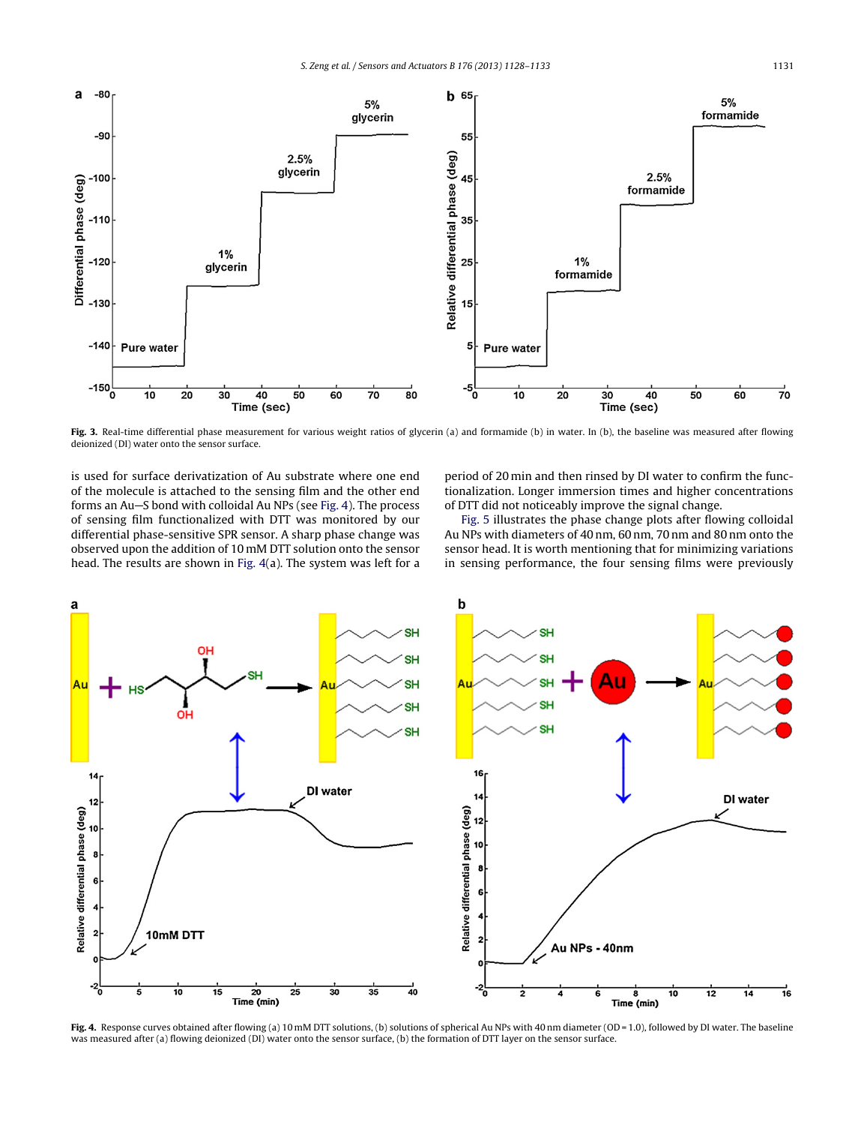<span id="page-3-0"></span>

**Fig. 3.** Real-time differential phase measurement for various weight ratios of glycerin (a) and formamide (b) in water. In (b), the baseline was measured after flowing deionized (DI) water onto the sensor surface.

is used for surface derivatization of Au substrate where one end of the molecule is attached to the sensing film and the other end forms an Au-S bond with colloidal Au NPs (see Fig. 4). The process of sensing film functionalized with DTT was monitored by our differential phase-sensitive SPR sensor. A sharp phase change was observed upon the addition of 10 mM DTT solution onto the sensor head. The results are shown in Fig. 4(a). The system was left for a period of 20 min and then rinsed by DI water to confirm the functionalization. Longer immersion times and higher concentrations of DTT did not noticeably improve the signal change.

[Fig.](#page-4-0) 5 illustrates the phase change plots after flowing colloidal Au NPs with diameters of 40 nm, 60 nm, 70 nm and 80 nm onto the sensor head. It is worth mentioning that for minimizing variations in sensing performance, the four sensing films were previously



**Fig. 4.** Response curves obtained after flowing (a) 10 mM DTT solutions, (b) solutions of spherical Au NPs with 40 nm diameter (OD = 1.0), followed by DI water. The baseline was measured after (a) flowing deionized (DI) water onto the sensor surface, (b) the formation of DTT layer on the sensor surface.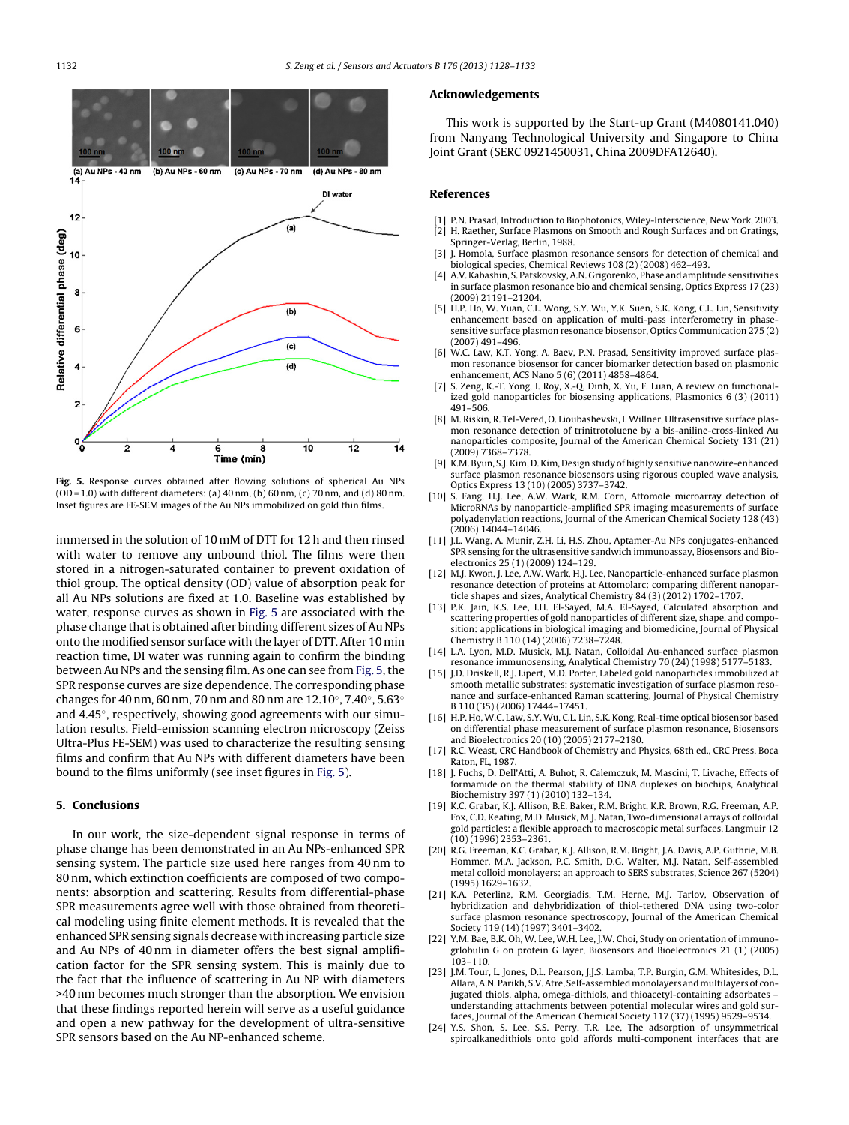<span id="page-4-0"></span>

**Fig. 5.** Response curves obtained after flowing solutions of spherical Au NPs  $(OD = 1.0)$  with different diameters: (a)  $40$  nm, (b)  $60$  nm, (c)  $70$  nm, and (d)  $80$  nm. Inset figures are FE-SEM images of the Au NPs immobilized on gold thin films.

immersed in the solution of 10 mM of DTT for 12 h and then rinsed with water to remove any unbound thiol. The films were then stored in a nitrogen-saturated container to prevent oxidation of thiol group. The optical density (OD) value of absorption peak for all Au NPs solutions are fixed at 1.0. Baseline was established by water, response curves as shown in Fig. 5 are associated with the phase change that is obtained after binding different sizes of Au NPs onto the modified sensor surface with the layer of DTT. After 10 min reaction time, DI water was running again to confirm the binding between Au NPs and the sensing film. As one can see from Fig. 5,the SPR response curves are size dependence. The corresponding phase changes for 40 nm, 60 nm, 70 nm and 80 nm are 12.10◦, 7.40◦, 5.63◦ and 4.45◦, respectively, showing good agreements with our simulation results. Field-emission scanning electron microscopy (Zeiss Ultra-Plus FE-SEM) was used to characterize the resulting sensing films and confirm that Au NPs with different diameters have been bound to the films uniformly (see inset figures in Fig. 5).

## **5. Conclusions**

In our work, the size-dependent signal response in terms of phase change has been demonstrated in an Au NPs-enhanced SPR sensing system. The particle size used here ranges from 40 nm to 80 nm, which extinction coefficients are composed of two components: absorption and scattering. Results from differential-phase SPR measurements agree well with those obtained from theoretical modeling using finite element methods. It is revealed that the enhanced SPR sensing signals decrease with increasing particle size and Au NPs of 40 nm in diameter offers the best signal amplification factor for the SPR sensing system. This is mainly due to the fact that the influence of scattering in Au NP with diameters >40 nm becomes much stronger than the absorption. We envision that these findings reported herein will serve as a useful guidance and open a new pathway for the development of ultra-sensitive SPR sensors based on the Au NP-enhanced scheme.

#### **Acknowledgements**

This work is supported by the Start-up Grant (M4080141.040) from Nanyang Technological University and Singapore to China Joint Grant (SERC 0921450031, China 2009DFA12640).

#### **References**

- [1] P.N. Prasad, Introduction to Biophotonics, Wiley-Interscience, New York, 2003. [2] H. Raether, Surface Plasmons on Smooth and Rough Surfaces and on Gratings, Springer-Verlag, Berlin, 1988.
- [3] J. Homola, Surface plasmon resonance sensors for detection of chemical and biological species, Chemical Reviews 108 (2) (2008) 462–493.
- [4] A.V.Kabashin, S. Patskovsky,A.N. Grigorenko, Phase and amplitude sensitivities in surface plasmon resonance bio and chemical sensing, Optics Express 17 (23) (2009) 21191–21204.
- [5] H.P. Ho, W. Yuan, C.L. Wong, S.Y. Wu, Y.K. Suen, S.K. Kong, C.L. Lin, Sensitivity enhancement based on application of multi-pass interferometry in phasesensitive surface plasmon resonance biosensor, Optics Communication 275 (2) (2007) 491–496.
- [6] W.C. Law, K.T. Yong, A. Baev, P.N. Prasad, Sensitivity improved surface plasmon resonance biosensor for cancer biomarker detection based on plasmonic enhancement, ACS Nano 5 (6) (2011) 4858–4864.
- [7] S. Zeng, K.-T. Yong, I. Roy, X.-Q. Dinh, X. Yu, F. Luan, A review on functionalized gold nanoparticles for biosensing applications, Plasmonics 6 (3) (2011) 491–506.
- [8] M. Riskin, R. Tel-Vered, O. Lioubashevski, I. Willner, Ultrasensitive surface plasmon resonance detection of trinitrotoluene by a bis-aniline-cross-linked Au nanoparticles composite, Journal of the American Chemical Society 131 (21) (2009) 7368–7378.
- [9] K.M. Byun, S.J.Kim, D.Kim, Design study of highly sensitive nanowire-enhanced surface plasmon resonance biosensors using rigorous coupled wave analysis, Optics Express 13 (10) (2005) 3737–3742.
- [10] S. Fang, H.J. Lee, A.W. Wark, R.M. Corn, Attomole microarray detection of MicroRNAs by nanoparticle-amplified SPR imaging measurements of surface polyadenylation reactions, Journal of the American Chemical Society 128 (43) (2006) 14044–14046.
- [11] J.L. Wang, A. Munir, Z.H. Li, H.S. Zhou, Aptamer-Au NPs conjugates-enhanced SPR sensing for the ultrasensitive sandwich immunoassay, Biosensors and Bioelectronics 25 (1) (2009) 124–129.
- [12] M.J. Kwon, J. Lee, A.W. Wark, H.J. Lee, Nanoparticle-enhanced surface plasmon resonance detection of proteins at Attomolarc: comparing different nanoparticle shapes and sizes, Analytical Chemistry 84 (3) (2012) 1702–1707.
- [13] P.K. Jain, K.S. Lee, I.H. El-Sayed, M.A. El-Sayed, Calculated absorption and scattering properties of gold nanoparticles of different size, shape, and composition: applications in biological imaging and biomedicine, Journal of Physical Chemistry B 110 (14) (2006) 7238–7248.
- [14] L.A. Lyon, M.D. Musick, M.J. Natan, Colloidal Au-enhanced surface plasmon resonance immunosensing, Analytical Chemistry 70 (24) (1998) 5177–5183.
- [15] J.D. Driskell, R.J. Lipert, M.D. Porter, Labeled gold nanoparticles immobilized at smooth metallic substrates: systematic investigation of surface plasmon resonance and surface-enhanced Raman scattering, Journal of Physical Chemistry B 110 (35) (2006) 17444–17451.
- [16] H.P. Ho, W.C. Law, S.Y. Wu, C.L. Lin, S.K. Kong, Real-time optical biosensor based on differential phase measurement of surface plasmon resonance, Biosensors and Bioelectronics 20 (10) (2005) 2177–2180.
- [17] R.C. Weast, CRC Handbook of Chemistry and Physics, 68th ed., CRC Press, Boca Raton, FL, 1987.
- [18] J. Fuchs, D. Dell'Atti, A. Buhot, R. Calemczuk, M. Mascini, T. Livache. Effects of formamide on the thermal stability of DNA duplexes on biochips, Analytical Biochemistry 397 (1) (2010) 132–134.
- [19] K.C. Grabar, K.J. Allison, B.E. Baker, R.M. Bright, K.R. Brown, R.G. Freeman, A.P. Fox, C.D. Keating, M.D. Musick, M.J. Natan, Two-dimensional arrays of colloidal gold particles: a flexible approach to macroscopic metal surfaces, Langmuir 12 (10) (1996) 2353–2361.
- [20] R.G. Freeman, K.C. Grabar, K.J. Allison, R.M. Bright, J.A. Davis, A.P. Guthrie, M.B. Hommer, M.A. Jackson, P.C. Smith, D.G. Walter, M.J. Natan, Self-assembled metal colloid monolayers: an approach to SERS substrates, Science 267 (5204) (1995) 1629–1632.
- [21] K.A. Peterlinz, R.M. Georgiadis, T.M. Herne, M.J. Tarlov, Observation of hybridization and dehybridization of thiol-tethered DNA using two-color surface plasmon resonance spectroscopy, Journal of the American Chemical Society 119 (14) (1997) 3401–3402.
- [22] Y.M. Bae, B.K. Oh, W. Lee, W.H. Lee, J.W. Choi, Study on orientation of immunogrlobulin G on protein G layer, Biosensors and Bioelectronics 21 (1) (2005) 103–110.
- [23] J.M. Tour, L. Jones, D.L. Pearson, J.J.S. Lamba, T.P. Burgin, G.M. Whitesides, D.L. Allara, A.N. Parikh, S.V. Atre, Self-assembled monolayers and multilayers of conjugated thiols, alpha, omega-dithiols, and thioacetyl-containing adsorbates – understanding attachments between potential molecular wires and gold surfaces, Journal of the American Chemical Society 117 (37) (1995) 9529–9534.
- [24] Y.S. Shon, S. Lee, S.S. Perry, T.R. Lee, The adsorption of unsymmetrical spiroalkanedithiols onto gold affords multi-component interfaces that are